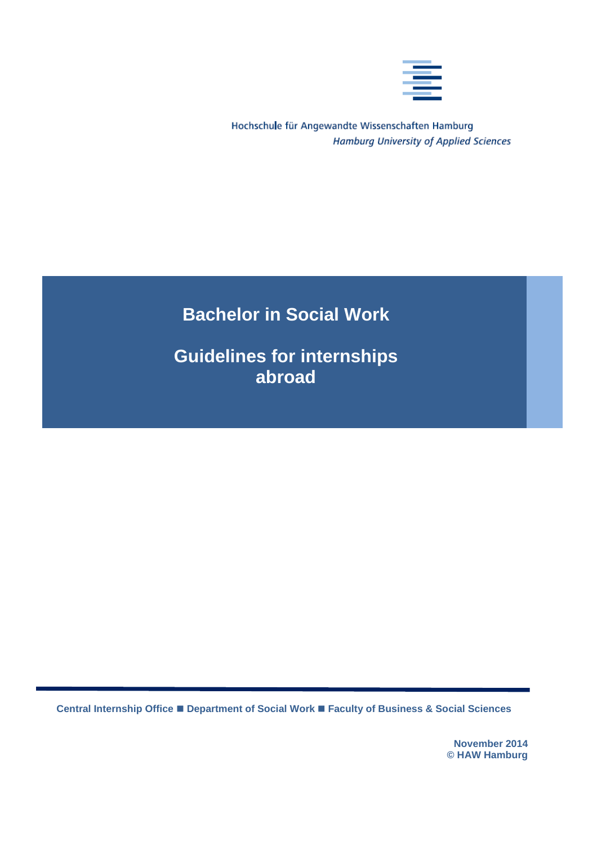

Hochschule für Angewandte Wissenschaften Hamburg **Hamburg University of Applied Sciences** 

# **Bachelor in Social Work**

**Guidelines for internships abroad**

**Central Internship Office Department of Social Work Faculty of Business & Social Sciences**

**November 2014 © HAW Hamburg**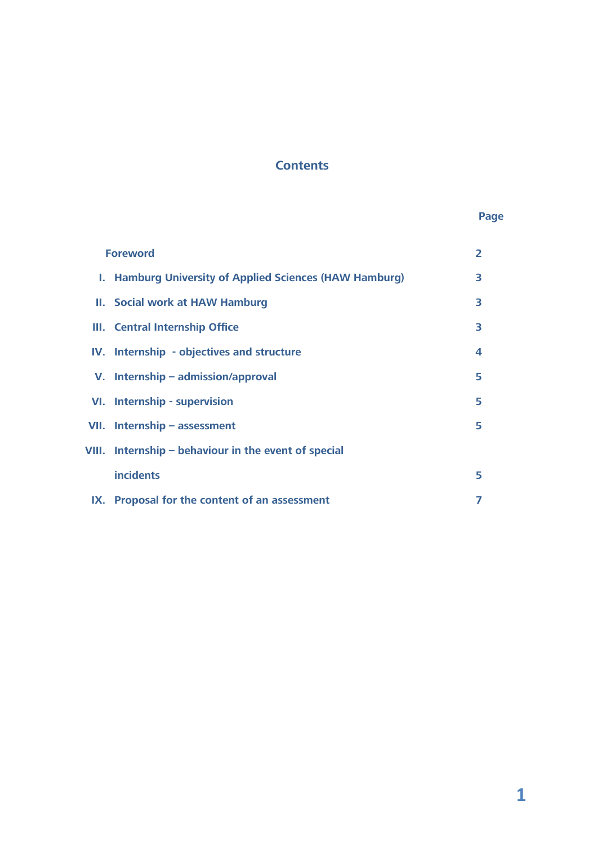# **Contents**

# **Page**

| <b>Foreword</b>                                         | $\overline{2}$ |
|---------------------------------------------------------|----------------|
| I. Hamburg University of Applied Sciences (HAW Hamburg) | 3              |
| II. Social work at HAW Hamburg                          | 3              |
| III. Central Internship Office                          | 3              |
| IV. Internship - objectives and structure               | 4              |
| V. Internship – admission/approval                      | 5              |
| VI. Internship - supervision                            | 5              |
| VII. Internship $-$ assessment                          | 5              |
| VIII. Internship - behaviour in the event of special    |                |
| <b>incidents</b>                                        | 5              |
| IX. Proposal for the content of an assessment           |                |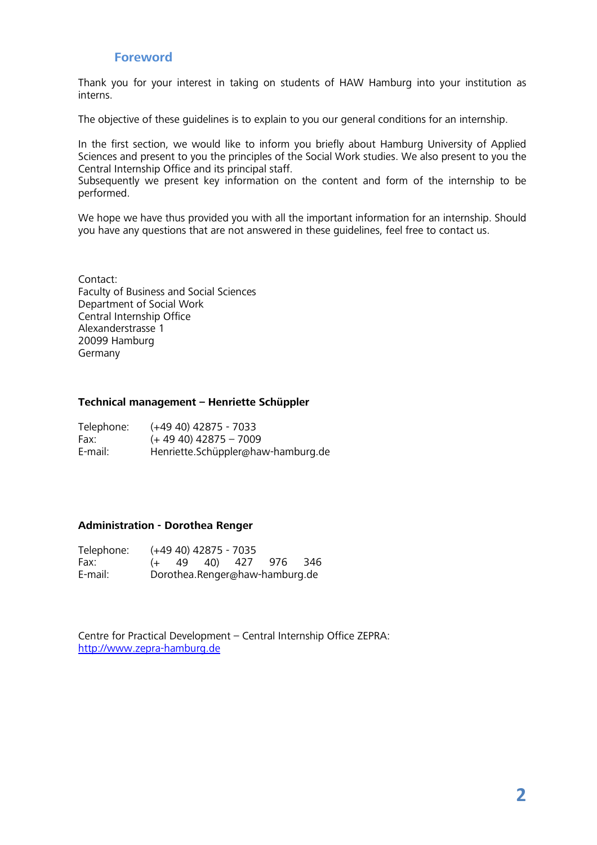#### **Foreword**

Thank you for your interest in taking on students of HAW Hamburg into your institution as interns.

The objective of these guidelines is to explain to you our general conditions for an internship.

In the first section, we would like to inform you briefly about Hamburg University of Applied Sciences and present to you the principles of the Social Work studies. We also present to you the Central Internship Office and its principal staff.

Subsequently we present key information on the content and form of the internship to be performed.

We hope we have thus provided you with all the important information for an internship. Should you have any questions that are not answered in these guidelines, feel free to contact us.

Contact: Faculty of Business and Social Sciences Department of Social Work Central Internship Office Alexanderstrasse 1 20099 Hamburg Germany

#### **Technical management – Henriette Schüppler**

| Telephone: | $(+49 40)$ 42875 - 7033            |
|------------|------------------------------------|
| Fax:       | $(+ 49 40)$ 42875 - 7009           |
| E-mail:    | Henriette.Schüppler@haw-hamburg.de |

#### **Administration - Dorothea Renger**

| Telephone: |  | (+49 40) 42875 - 7035 |                                |  |
|------------|--|-----------------------|--------------------------------|--|
| Fax:       |  |                       | $(+ 49 40)$ 427 976 346        |  |
| E-mail:    |  |                       | Dorothea.Renger@haw-hamburg.de |  |

Centre for Practical Development – Central Internship Office ZEPRA: [http://www.zepra-hamburg.de](http://www.zepra-hamburg.de/)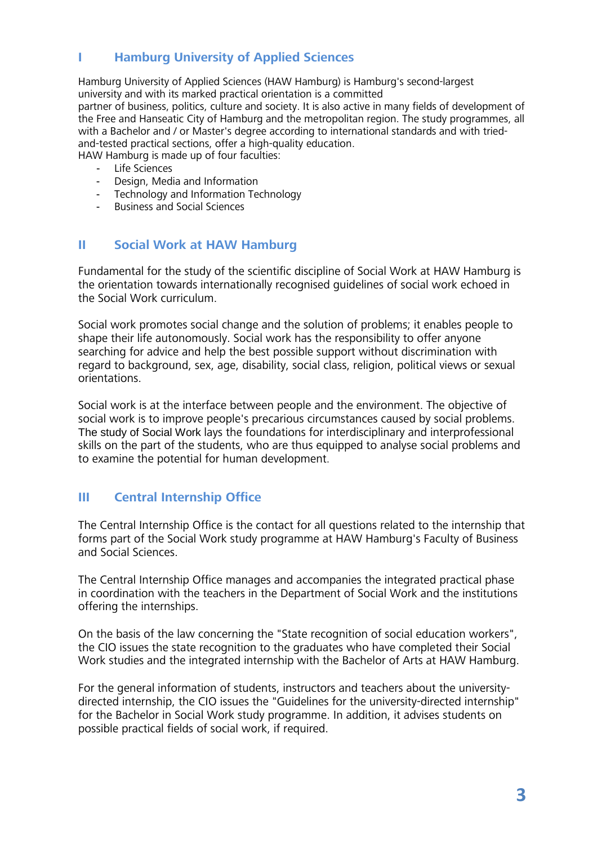# **I Hamburg University of Applied Sciences**

Hamburg University of Applied Sciences (HAW Hamburg) is Hamburg's second-largest university and with its marked practical orientation is a committed partner of business, politics, culture and society. It is also active in many fields of development of the Free and Hanseatic City of Hamburg and the metropolitan region. The study programmes, all with a Bachelor and / or Master's degree according to international standards and with triedand-tested practical sections, offer a high-quality education. HAW Hamburg is made up of four faculties:

- Life Sciences
- Design, Media and Information
- Technology and Information Technology
- Business and Social Sciences

## **II Social Work at HAW Hamburg**

Fundamental for the study of the scientific discipline of Social Work at HAW Hamburg is the orientation towards internationally recognised guidelines of social work echoed in the Social Work curriculum.

Social work promotes social change and the solution of problems; it enables people to shape their life autonomously. Social work has the responsibility to offer anyone searching for advice and help the best possible support without discrimination with regard to background, sex, age, disability, social class, religion, political views or sexual orientations.

Social work is at the interface between people and the environment. The objective of social work is to improve people's precarious circumstances caused by social problems. The study of Social Work lays the foundations for interdisciplinary and interprofessional skills on the part of the students, who are thus equipped to analyse social problems and to examine the potential for human development.

## **III Central Internship Office**

The Central Internship Office is the contact for all questions related to the internship that forms part of the Social Work study programme at HAW Hamburg's Faculty of Business and Social Sciences.

The Central Internship Office manages and accompanies the integrated practical phase in coordination with the teachers in the Department of Social Work and the institutions offering the internships.

On the basis of the law concerning the "State recognition of social education workers", the CIO issues the state recognition to the graduates who have completed their Social Work studies and the integrated internship with the Bachelor of Arts at HAW Hamburg.

For the general information of students, instructors and teachers about the universitydirected internship, the CIO issues the "Guidelines for the university-directed internship" for the Bachelor in Social Work study programme. In addition, it advises students on possible practical fields of social work, if required.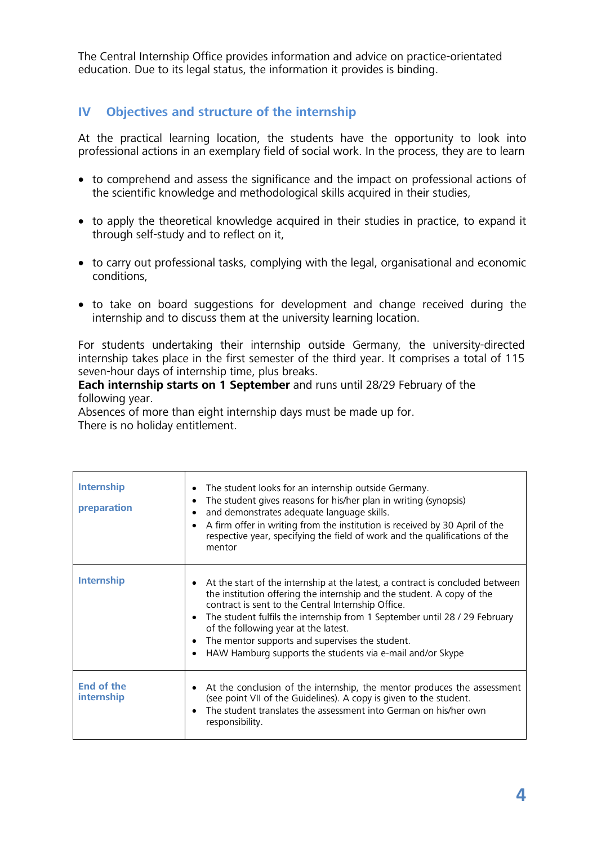The Central Internship Office provides information and advice on practice-orientated education. Due to its legal status, the information it provides is binding.

# **IV Objectives and structure of the internship**

At the practical learning location, the students have the opportunity to look into professional actions in an exemplary field of social work. In the process, they are to learn

- to comprehend and assess the significance and the impact on professional actions of the scientific knowledge and methodological skills acquired in their studies,
- to apply the theoretical knowledge acquired in their studies in practice, to expand it through self-study and to reflect on it,
- to carry out professional tasks, complying with the legal, organisational and economic conditions,
- to take on board suggestions for development and change received during the internship and to discuss them at the university learning location.

For students undertaking their internship outside Germany, the university-directed internship takes place in the first semester of the third year. It comprises a total of 115 seven-hour days of internship time, plus breaks.

#### **Each internship starts on 1 September** and runs until 28/29 February of the following year.

Absences of more than eight internship days must be made up for. There is no holiday entitlement.

| <b>Internship</b><br>preparation | The student looks for an internship outside Germany.<br>٠<br>The student gives reasons for his/her plan in writing (synopsis)<br>$\bullet$<br>and demonstrates adequate language skills.<br>A firm offer in writing from the institution is received by 30 April of the<br>respective year, specifying the field of work and the qualifications of the<br>mentor                                                                                                 |
|----------------------------------|------------------------------------------------------------------------------------------------------------------------------------------------------------------------------------------------------------------------------------------------------------------------------------------------------------------------------------------------------------------------------------------------------------------------------------------------------------------|
| <b>Internship</b>                | At the start of the internship at the latest, a contract is concluded between<br>the institution offering the internship and the student. A copy of the<br>contract is sent to the Central Internship Office.<br>The student fulfils the internship from 1 September until 28 / 29 February<br>$\bullet$<br>of the following year at the latest.<br>The mentor supports and supervises the student.<br>HAW Hamburg supports the students via e-mail and/or Skype |
| <b>End of the</b><br>internship  | At the conclusion of the internship, the mentor produces the assessment<br>(see point VII of the Guidelines). A copy is given to the student.<br>The student translates the assessment into German on his/her own<br>responsibility.                                                                                                                                                                                                                             |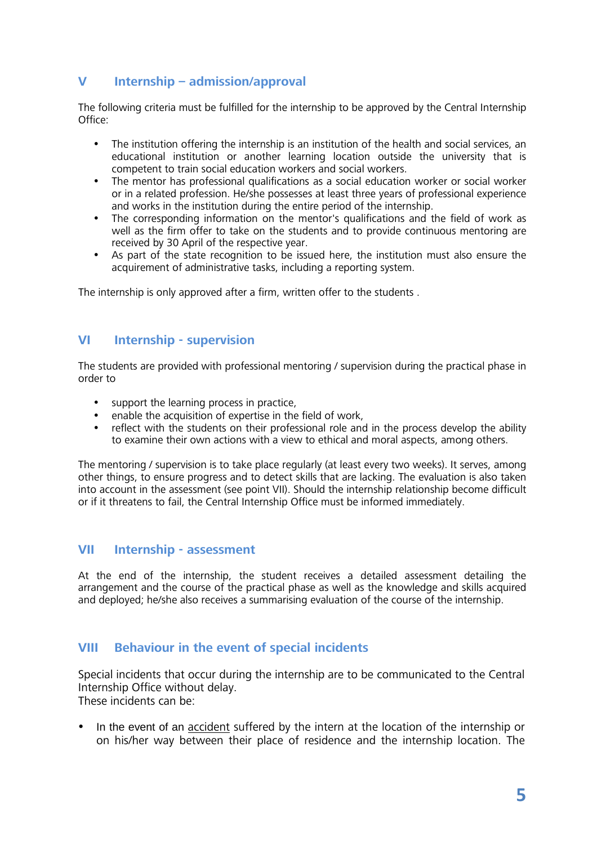## **V Internship – admission/approval**

The following criteria must be fulfilled for the internship to be approved by the Central Internship Office:

- The institution offering the internship is an institution of the health and social services, an educational institution or another learning location outside the university that is competent to train social education workers and social workers.
- The mentor has professional qualifications as a social education worker or social worker or in a related profession. He/she possesses at least three years of professional experience and works in the institution during the entire period of the internship.
- The corresponding information on the mentor's qualifications and the field of work as well as the firm offer to take on the students and to provide continuous mentoring are received by 30 April of the respective year.
- As part of the state recognition to be issued here, the institution must also ensure the acquirement of administrative tasks, including a reporting system.

The internship is only approved after a firm, written offer to the students .

#### **VI Internship - supervision**

The students are provided with professional mentoring / supervision during the practical phase in order to

- support the learning process in practice,
- enable the acquisition of expertise in the field of work,
- reflect with the students on their professional role and in the process develop the ability to examine their own actions with a view to ethical and moral aspects, among others.

The mentoring / supervision is to take place regularly (at least every two weeks). It serves, among other things, to ensure progress and to detect skills that are lacking. The evaluation is also taken into account in the assessment (see point VII). Should the internship relationship become difficult or if it threatens to fail, the Central Internship Office must be informed immediately.

## **VII Internship - assessment**

At the end of the internship, the student receives a detailed assessment detailing the arrangement and the course of the practical phase as well as the knowledge and skills acquired and deployed; he/she also receives a summarising evaluation of the course of the internship.

## **VIII Behaviour in the event of special incidents**

Special incidents that occur during the internship are to be communicated to the Central Internship Office without delay. These incidents can be:

 In the event of an accident suffered by the intern at the location of the internship or on his/her way between their place of residence and the internship location. The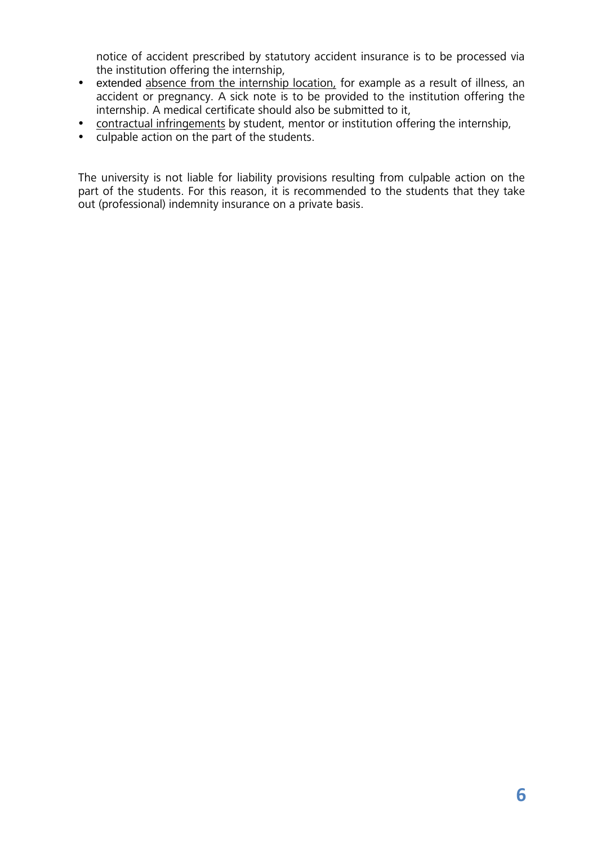notice of accident prescribed by statutory accident insurance is to be processed via the institution offering the internship,

- extended absence from the internship location, for example as a result of illness, an accident or pregnancy. A sick note is to be provided to the institution offering the internship. A medical certificate should also be submitted to it,
- contractual infringements by student, mentor or institution offering the internship,<br>• culpable action on the part of the students.
- culpable action on the part of the students.

The university is not liable for liability provisions resulting from culpable action on the part of the students. For this reason, it is recommended to the students that they take out (professional) indemnity insurance on a private basis.